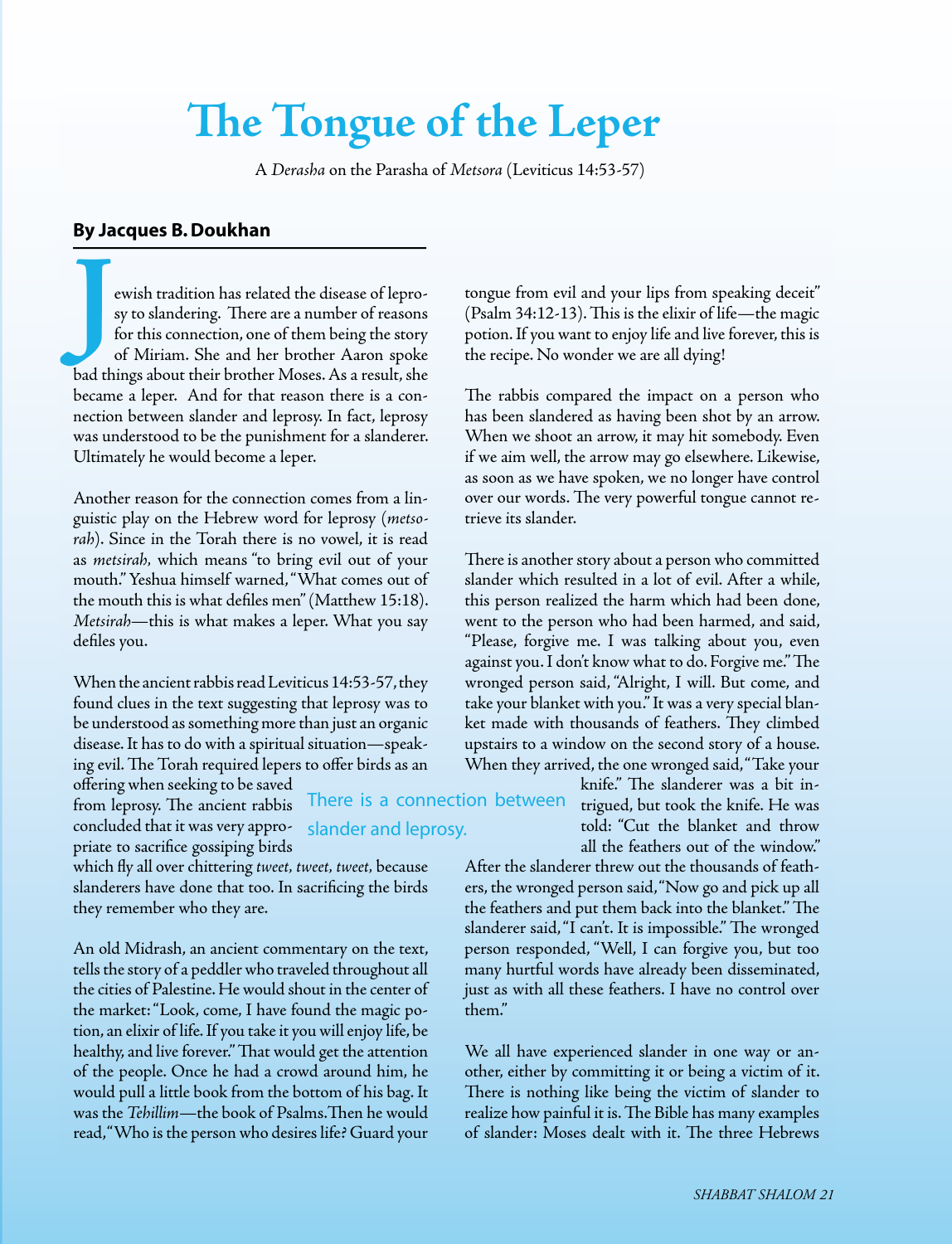## **The Tongue of the Leper**

A *Derasha* on the Parasha of *Metsora* (Leviticus 14:53-57)

There is a connection between

slander and leprosy.

## **By Jacques B.Doukhan**

ewish tradition has related the disease of lepro-<br>sy to slandering. There are a number of reasons<br>for this connection, one of them being the story<br>of Miriam. She and her brother Aaron spoke sy to slandering. There are a number of reasons for this connection, one of them being the story of Miriam. She and her brother Aaron spoke bad things about their brother Moses. As a result, she became a leper. And for that reason there is a connection between slander and leprosy. In fact, leprosy was understood to be the punishment for a slanderer. Ultimately he would become a leper.

Another reason for the connection comes from a linguistic play on the Hebrew word for leprosy (*metsorah*). Since in the Torah there is no vowel, it is read as *metsirah,* which means "to bring evil out of your mouth."Yeshua himself warned,"What comes out of the mouth this is what defiles men"(Matthew 15:18). *Metsirah*—this is what makes a leper. What you say defiles you.

When the ancient rabbis read Leviticus 14:53-57, they found clues in the text suggesting that leprosy was to be understood as something more than just an organic disease.It has to do with a spiritual situation—speaking evil.The Torah required lepers to offer birds as an

offering when seeking to be saved from leprosy. The ancient rabbis concluded that it was very appropriate to sacrifice gossiping birds

which fly all over chittering *tweet, tweet, tweet*, because slanderers have done that too. In sacrificing the birds they remember who they are.

An old Midrash, an ancient commentary on the text, tells the story of a peddler who traveled throughout all the cities of Palestine. He would shout in the center of the market:"Look, come, I have found the magic potion, an elixir of life. If you take it you will enjoy life, be healthy, and live forever." That would get the attention of the people. Once he had a crowd around him, he would pull a little book from the bottom of his bag.It was the *Tehillim*—the book of Psalms.Then he would read, "Who is the person who desires life? Guard your tongue from evil and your lips from speaking deceit" (Psalm 34:12-13). This is the elixir of life—the magic potion. If you want to enjoy life and live forever, this is the recipe. No wonder we are all dying!

The rabbis compared the impact on a person who has been slandered as having been shot by an arrow. When we shoot an arrow, it may hit somebody. Even if we aim well, the arrow may go elsewhere. Likewise, as soon as we have spoken, we no longer have control over our words. The very powerful tongue cannot retrieve its slander.

There is another story about a person who committed slander which resulted in a lot of evil. After a while, this person realized the harm which had been done, went to the person who had been harmed, and said, "Please, forgive me. I was talking about you, even against you.I don't know what to do. Forgive me."The wronged person said, "Alright, I will. But come, and take your blanket with you."It was a very special blanket made with thousands of feathers. They climbed upstairs to a window on the second story of a house. When they arrived, the one wronged said,"Take your

knife." The slanderer was a bit intrigued, but took the knife. He was told: "Cut the blanket and throw all the feathers out of the window."

After the slanderer threw out the thousands of feathers, the wronged person said,"Now go and pick up all the feathers and put them back into the blanket."The slanderer said,"I can't. It is impossible." The wronged person responded, "Well, I can forgive you, but too many hurtful words have already been disseminated, just as with all these feathers. I have no control over them."

We all have experienced slander in one way or another, either by committing it or being a victim of it. There is nothing like being the victim of slander to realize how painful it is.The Bible has many examples of slander: Moses dealt with it. The three Hebrews